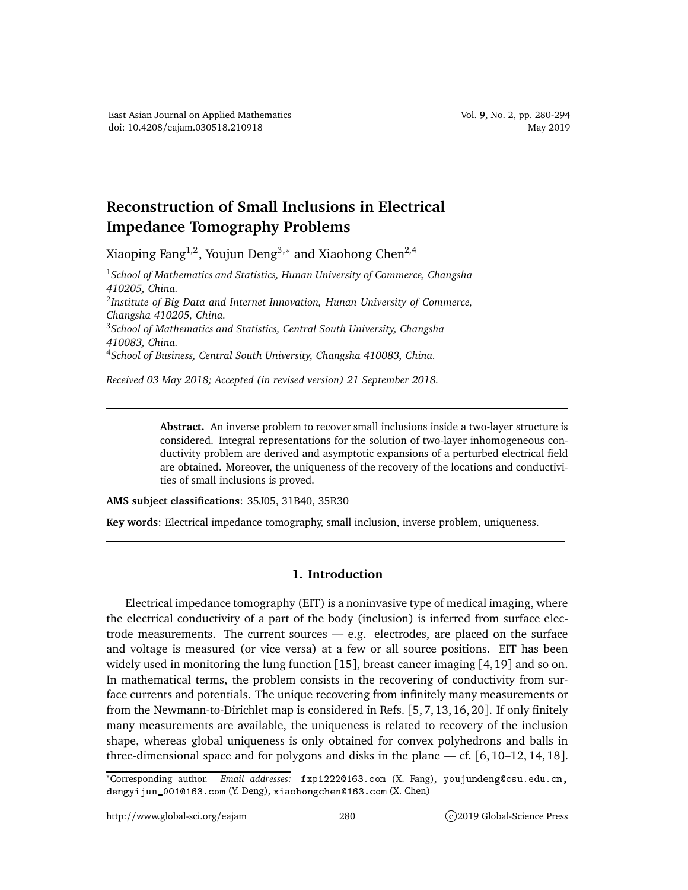## **Reconstruction of Small Inclusions in Electrical Impedance Tomography Problems**

Xiaoping Fang $^{1,2}$ , Youjun Deng $^{3,\ast}$  and Xiaohong Chen $^{2,4}$ 

<sup>1</sup>*School of Mathematics and Statistics, Hunan University of Commerce, Changsha 410205, China.* 2 *Institute of Big Data and Internet Innovation, Hunan University of Commerce, Changsha 410205, China.* <sup>3</sup>*School of Mathematics and Statistics, Central South University, Changsha 410083, China.* <sup>4</sup>*School of Business, Central South University, Changsha 410083, China.*

*Received 03 May 2018; Accepted (in revised version) 21 September 2018.*

**Abstract.** An inverse problem to recover small inclusions inside a two-layer structure is considered. Integral representations for the solution of two-layer inhomogeneous conductivity problem are derived and asymptotic expansions of a perturbed electrical field are obtained. Moreover, the uniqueness of the recovery of the locations and conductivities of small inclusions is proved.

**AMS subject classifications**: 35J05, 31B40, 35R30

**Key words**: Electrical impedance tomography, small inclusion, inverse problem, uniqueness.

## **1. Introduction**

Electrical impedance tomography (EIT) is a noninvasive type of medical imaging, where the electrical conductivity of a part of the body (inclusion) is inferred from surface electrode measurements. The current sources — e.g. electrodes, are placed on the surface and voltage is measured (or vice versa) at a few or all source positions. EIT has been widely used in monitoring the lung function [15], breast cancer imaging [4,19] and so on. In mathematical terms, the problem consists in the recovering of conductivity from surface currents and potentials. The unique recovering from infinitely many measurements or from the Newmann-to-Dirichlet map is considered in Refs. [5, 7, 13, 16, 20]. If only finitely many measurements are available, the uniqueness is related to recovery of the inclusion shape, whereas global uniqueness is only obtained for convex polyhedrons and balls in three-dimensional space and for polygons and disks in the plane — cf. [6, 10–12, 14, 18].

<sup>\*</sup>Corresponding author. Email addresses: fxp1222@163.com (X. Fang), youjundeng@csu.edu.cn, dengyijun\_0010163.com (Y. Deng), xiaohongchen0163.com (X. Chen)